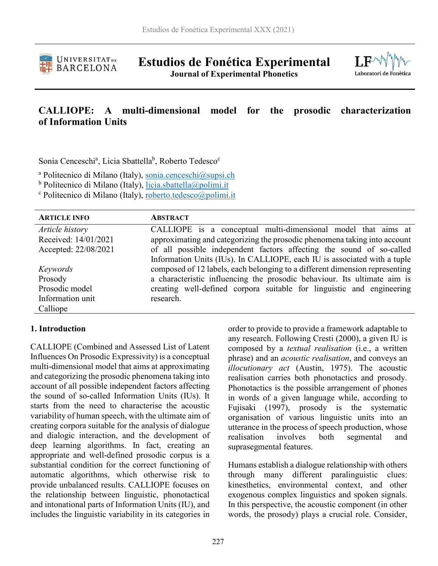

**Estudios de Fonética Experimental Journal of Experimental Phonetics**



# **CALLIOPE: A multi-dimensional model for the prosodic characterization of Information Units**

Sonia Cenceschi<sup>a</sup>, Licia Sbattella<sup>b</sup>, Roberto Tedesco<sup>c</sup>

<sup>a</sup> Politecnico di Milano (Italy), [sonia.cenceschi@supsi.ch](mailto:sonia.cenceschi@supsi.ch)

**b Politecnico di Milano (Italy)**, [licia.sbattella@polimi.it](mailto:licia.sbattella@polimi.it)

<sup>c</sup> Politecnico di Milano (Italy), [roberto.tedesco@polimi.it](mailto:roberto.tedesco@polimi.it)

| <b>ARTICLE INFO</b>  | <b>ABSTRACT</b>                                                             |
|----------------------|-----------------------------------------------------------------------------|
| Article history      | CALLIOPE is a conceptual multi-dimensional model that aims at               |
| Received: 14/01/2021 | approximating and categorizing the prosodic phenomena taking into account   |
| Accepted: 22/08/2021 | of all possible independent factors affecting the sound of so-called        |
|                      | Information Units (IUs). In CALLIOPE, each IU is associated with a tuple    |
| Keywords             | composed of 12 labels, each belonging to a different dimension representing |
| Prosody              | a characteristic influencing the prosodic behaviour. Its ultimate aim is    |
| Prosodic model       | creating well-defined corpora suitable for linguistic and engineering       |
| Information unit     | research.                                                                   |
| Calliope             |                                                                             |
|                      |                                                                             |

#### **1. Introduction**

CALLIOPE (Combined and Assessed List of Latent Influences On Prosodic Expressivity) is a conceptual multi-dimensional model that aims at approximating and categorizing the prosodic phenomena taking into account of all possible independent factors affecting the sound of so-called Information Units (IUs). It starts from the need to characterise the acoustic variability of human speech, with the ultimate aim of creating corpora suitable for the analysis of dialogue and dialogic interaction, and the development of deep learning algorithms. In fact, creating an appropriate and well-defined prosodic corpus is a substantial condition for the correct functioning of automatic algorithms, which otherwise risk to provide unbalanced results. CALLIOPE focuses on the relationship between linguistic, phonotactical and intonational parts of Information Units (IU), and includes the linguistic variability in its categories in

order to provide to provide a framework adaptable to any research. Following Cresti (2000), a given IU is composed by a *textual realisation* (i.e., a written phrase) and an *acoustic realisation*, and conveys an *illocutionary act* (Austin, 1975). The acoustic realisation carries both phonotactics and prosody. Phonotactics is the possible arrangement of phones in words of a given language while, according to Fujisaki (1997), prosody is the systematic organisation of various linguistic units into an utterance in the process of speech production, whose realisation involves both segmental and suprasegmental features.

Humans establish a dialogue relationship with others through many different paralinguistic clues: kinesthetics, environmental context, and other exogenous complex linguistics and spoken signals. In this perspective, the acoustic component (in other words, the prosody) plays a crucial role. Consider,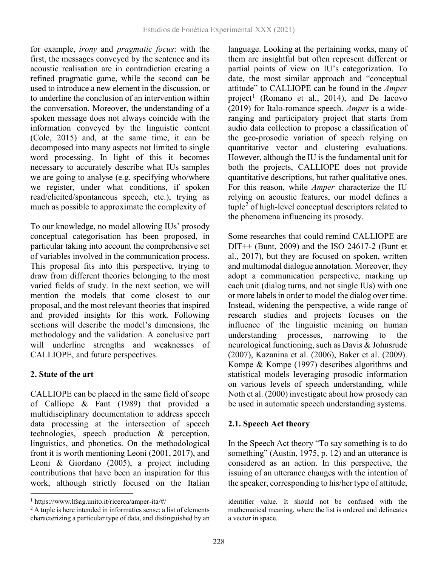for example, *irony* and *pragmatic focus*: with the first, the messages conveyed by the sentence and its acoustic realisation are in contradiction creating a refined pragmatic game, while the second can be used to introduce a new element in the discussion, or to underline the conclusion of an intervention within the conversation. Moreover, the understanding of a spoken message does not always coincide with the information conveyed by the linguistic content (Cole, 2015) and, at the same time, it can be decomposed into many aspects not limited to single word processing. In light of this it becomes necessary to accurately describe what IUs samples we are going to analyse (e.g. specifying who/where we register, under what conditions, if spoken read/elicited/spontaneous speech, etc.), trying as much as possible to approximate the complexity of

To our knowledge, no model allowing IUs' prosody conceptual categorisation has been proposed, in particular taking into account the comprehensive set of variables involved in the communication process. This proposal fits into this perspective, trying to draw from different theories belonging to the most varied fields of study. In the next section, we will mention the models that come closest to our proposal, and the most relevant theories that inspired and provided insights for this work. Following sections will describe the model's dimensions, the methodology and the validation. A conclusive part will underline strengths and weaknesses of CALLIOPE, and future perspectives.

# **2. State of the art**

CALLIOPE can be placed in the same field of scope of Calliope & Fant (1989) that provided a multidisciplinary documentation to address speech data processing at the intersection of speech technologies, speech production & perception, linguistics, and phonetics. On the methodological front it is worth mentioning Leoni (2001, 2017), and Leoni & Giordano (2005), a project including contributions that have been an inspiration for this work, although strictly focused on the Italian

language. Looking at the pertaining works, many of them are insightful but often represent different or partial points of view on IU's categorization. To date, the most similar approach and "conceptual attitude" to CALLIOPE can be found in the *Amper* project<sup>[1](#page-1-0)</sup> (Romano et al., 2014), and De Iacovo (2019) for Italo-romance speech. *Amper* is a wideranging and participatory project that starts from audio data collection to propose a classification of the geo-prosodic variation of speech relying on quantitative vector and clustering evaluations. However, although the IU is the fundamental unit for both the projects, CALLIOPE does not provide quantitative descriptions, but rather qualitative ones. For this reason, while *Amper* characterize the IU relying on acoustic features, our model defines a  $tuple<sup>2</sup> of high-level conceptual descriptors related to$  $tuple<sup>2</sup> of high-level conceptual descriptors related to$  $tuple<sup>2</sup> of high-level conceptual descriptors related to$ the phenomena influencing its prosody.

Some researches that could remind CALLIOPE are  $DIT++$  (Bunt, 2009) and the ISO 24617-2 (Bunt et al., 2017), but they are focused on spoken, written and multimodal dialogue annotation. Moreover, they adopt a communication perspective, marking up each unit (dialog turns, and not single IUs) with one or more labels in order to model the dialog over time. Instead, widening the perspective, a wide range of research studies and projects focuses on the influence of the linguistic meaning on human understanding processes, narrowing to the neurological functioning, such as Davis & Johnsrude (2007), Kazanina et al. (2006), Baker et al. (2009). Kompe & Kompe (1997) describes algorithms and statistical models leveraging prosodic information on various levels of speech understanding, while Noth et al. (2000) investigate about how prosody can be used in automatic speech understanding systems.

### **2.1. Speech Act theory**

In the Speech Act theory "To say something is to do something" (Austin, 1975, p. 12) and an utterance is considered as an action. In this perspective, the issuing of an utterance changes with the intention of the speaker, corresponding to his/her type of attitude,

<span id="page-1-0"></span> <sup>1</sup> https://www.lfsag.unito.it/ricerca/amper-ita/#/

<span id="page-1-1"></span><sup>&</sup>lt;sup>2</sup> A tuple is here intended in informatics sense: a list of elements characterizing a particular type of data, and distinguished by an

identifier value. It should not be confused with the mathematical meaning, where the list is ordered and delineates a vector in space.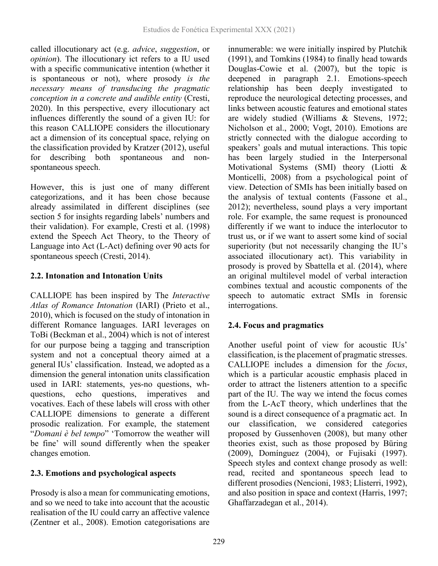called illocutionary act (e.g. *advice*, *suggestion*, or *opinion*). The illocutionary ict refers to a IU used with a specific communicative intention (whether it is spontaneous or not), where prosody *is the necessary means of transducing the pragmatic conception in a concrete and audible entity* (Cresti, 2020). In this perspective, every illocutionary act influences differently the sound of a given IU: for this reason CALLIOPE considers the illocutionary act a dimension of its conceptual space, relying on the classification provided by Kratzer (2012), useful for describing both spontaneous and nonspontaneous speech.

However, this is just one of many different categorizations, and it has been chose because already assimilated in different disciplines (see section 5 for insights regarding labels' numbers and their validation). For example, Cresti et al. (1998) extend the Speech Act Theory, to the Theory of Language into Act (L-Act) defining over 90 acts for spontaneous speech (Cresti, 2014).

# **2.2. Intonation and Intonation Units**

CALLIOPE has been inspired by The *Interactive Atlas of Romance Intonation* (IARI) (Prieto et al., 2010), which is focused on the study of intonation in different Romance languages. IARI leverages on ToBi (Beckman et al., 2004) which is not of interest for our purpose being a tagging and transcription system and not a conceptual theory aimed at a general IUs' classification. Instead, we adopted as a dimension the general intonation units classification used in IARI: statements, yes-no questions, whquestions, echo questions, imperatives and vocatives. Each of these labels will cross with other CALLIOPE dimensions to generate a different prosodic realization. For example, the statement "*Domani è bel tempo*" 'Tomorrow the weather will be fine' will sound differently when the speaker changes emotion.

# **2.3. Emotions and psychological aspects**

Prosody is also a mean for communicating emotions, and so we need to take into account that the acoustic realisation of the IU could carry an affective valence (Zentner et al., 2008). Emotion categorisations are

innumerable: we were initially inspired by Plutchik (1991), and Tomkins (1984) to finally head towards Douglas-Cowie et al. (2007), but the topic is deepened in paragraph 2.1. Emotions-speech relationship has been deeply investigated to reproduce the neurological detecting processes, and links between acoustic features and emotional states are widely studied (Williams & Stevens, 1972; Nicholson et al., 2000; Vogt, 2010). Emotions are strictly connected with the dialogue according to speakers' goals and mutual interactions. This topic has been largely studied in the Interpersonal Motivational Systems (SMI) theory (Liotti & Monticelli, 2008) from a psychological point of view. Detection of SMIs has been initially based on the analysis of textual contents (Fassone et al., 2012); nevertheless, sound plays a very important role. For example, the same request is pronounced differently if we want to induce the interlocutor to trust us, or if we want to assert some kind of social superiority (but not necessarily changing the IU's associated illocutionary act). This variability in prosody is proved by Sbattella et al. (2014), where an original multilevel model of verbal interaction combines textual and acoustic components of the speech to automatic extract SMIs in forensic interrogations.

# **2.4. Focus and pragmatics**

Another useful point of view for acoustic IUs' classification, is the placement of pragmatic stresses. CALLIOPE includes a dimension for the *focus*, which is a particular acoustic emphasis placed in order to attract the listeners attention to a specific part of the IU. The way we intend the focus comes from the L-AcT theory, which underlines that the sound is a direct consequence of a pragmatic act. In our classification, we considered categories proposed by Gussenhoven (2008), but many other theories exist, such as those proposed by Büring (2009), Domínguez (2004), or Fujisaki (1997). Speech styles and context change prosody as well: read, recited and spontaneous speech lead to different prosodies (Nencioni, 1983; Llisterri, 1992), and also position in space and context (Harris, 1997; Ghaffarzadegan et al., 2014).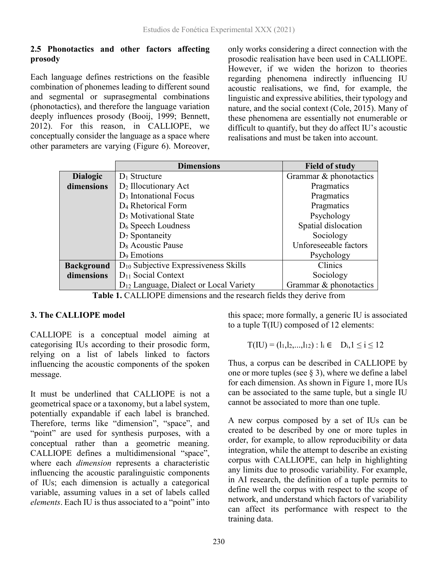#### **2.5 Phonotactics and other factors affecting prosody**

Each language defines restrictions on the feasible combination of phonemes leading to different sound and segmental or suprasegmental combinations (phonotactics), and therefore the language variation deeply influences prosody (Booij, 1999; Bennett, 2012). For this reason, in CALLIOPE, we conceptually consider the language as a space where other parameters are varying (Figure 6). Moreover,

only works considering a direct connection with the prosodic realisation have been used in CALLIOPE. However, if we widen the horizon to theories regarding phenomena indirectly influencing IU acoustic realisations, we find, for example, the linguistic and expressive abilities, their typology and nature, and the social context (Cole, 2015). Many of these phenomena are essentially not enumerable or difficult to quantify, but they do affect IU's acoustic realisations and must be taken into account.

|                   | <b>Dimensions</b>                                  | <b>Field of study</b>  |
|-------------------|----------------------------------------------------|------------------------|
| <b>Dialogic</b>   | $D_1$ Structure                                    | Grammar & phonotactics |
| dimensions        | D <sub>2</sub> Illocutionary Act                   | Pragmatics             |
|                   | D <sub>3</sub> Intonational Focus                  | Pragmatics             |
|                   | D <sub>4</sub> Rhetorical Form                     | Pragmatics             |
|                   | D <sub>5</sub> Motivational State                  | Psychology             |
|                   | $D_6$ Speech Loudness                              | Spatial dislocation    |
|                   | $D_7$ Spontaneity                                  | Sociology              |
|                   | D <sub>8</sub> Acoustic Pause                      | Unforeseeable factors  |
|                   | D <sub>9</sub> Emotions                            | Psychology             |
| <b>Background</b> | $D_{10}$ Subjective Expressiveness Skills          | Clinics                |
| dimensions        | $D_{11}$ Social Context                            | Sociology              |
|                   | D <sub>12</sub> Language, Dialect or Local Variety | Grammar & phonotactics |

**Table 1.** CALLIOPE dimensions and the research fields they derive from

### **3. The CALLIOPE model**

CALLIOPE is a conceptual model aiming at categorising IUs according to their prosodic form, relying on a list of labels linked to factors influencing the acoustic components of the spoken message.

It must be underlined that CALLIOPE is not a geometrical space or a taxonomy, but a label system, potentially expandable if each label is branched. Therefore, terms like "dimension", "space", and "point" are used for synthesis purposes, with a conceptual rather than a geometric meaning. CALLIOPE defines a multidimensional "space", where each *dimension* represents a characteristic influencing the acoustic paralinguistic components of IUs; each dimension is actually a categorical variable, assuming values in a set of labels called *elements*. Each IU is thus associated to a "point" into

this space; more formally, a generic IU is associated to a tuple T(IU) composed of 12 elements:

$$
T({\rm IU})=(l_1,l_2,...,l_{12}):l_i\in\quad D_i, 1\leq i\leq 12
$$

Thus, a corpus can be described in CALLIOPE by one or more tuples (see  $\S$  3), where we define a label for each dimension. As shown in Figure 1, more IUs can be associated to the same tuple, but a single IU cannot be associated to more than one tuple.

A new corpus composed by a set of IUs can be created to be described by one or more tuples in order, for example, to allow reproducibility or data integration, while the attempt to describe an existing corpus with CALLIOPE, can help in highlighting any limits due to prosodic variability. For example, in AI research, the definition of a tuple permits to define well the corpus with respect to the scope of network, and understand which factors of variability can affect its performance with respect to the training data.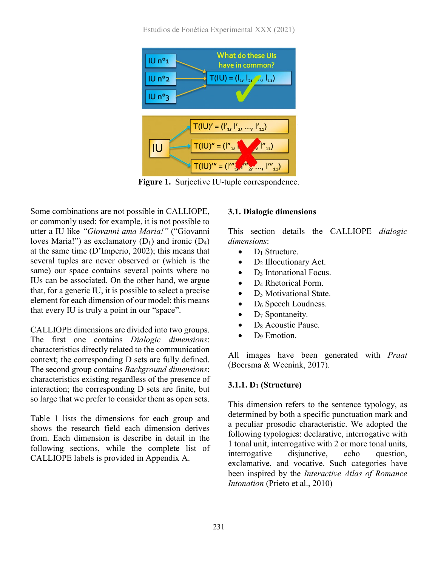Estudios de Fonética Experimental XXX (2021)



**Figure 1.** Surjective IU-tuple correspondence.

Some combinations are not possible in CALLIOPE, or commonly used: for example, it is not possible to utter a IU like *"Giovanni ama Maria!"* ("Giovanni loves Maria!") as exclamatory  $(D_1)$  and ironic  $(D_4)$ at the same time (D'Imperio, 2002); this means that several tuples are never observed or (which is the same) our space contains several points where no IUs can be associated. On the other hand, we argue that, for a generic IU, it is possible to select a precise element for each dimension of our model; this means that every IU is truly a point in our "space".

CALLIOPE dimensions are divided into two groups. The first one contains *Dialogic dimensions*: characteristics directly related to the communication context; the corresponding D sets are fully defined. The second group contains *Background dimensions*: characteristics existing regardless of the presence of interaction; the corresponding D sets are finite, but so large that we prefer to consider them as open sets.

Table 1 lists the dimensions for each group and shows the research field each dimension derives from. Each dimension is describe in detail in the following sections, while the complete list of CALLIOPE labels is provided in Appendix A.

#### **3.1. Dialogic dimensions**

This section details the CALLIOPE *dialogic dimensions*:

- $\bullet$  D<sub>1</sub> Structure.
- $D_2$  Illocutionary Act.
- $\bullet$  D<sub>3</sub> Intonational Focus.
- D<sub>4</sub> Rhetorical Form.
- $D_5$  Motivational State.
- $\bullet$  D<sub>6</sub> Speech Loudness.
- $\bullet$  D<sub>7</sub> Spontaneity.
- D<sub>8</sub> Acoustic Pause.
- D<sub>9</sub> Emotion.

All images have been generated with *Praat* (Boersma & Weenink, 2017).

#### **3.1.1. D1 (Structure)**

This dimension refers to the sentence typology, as determined by both a specific punctuation mark and a peculiar prosodic characteristic. We adopted the following typologies: declarative, interrogative with 1 tonal unit, interrogative with 2 or more tonal units, interrogative disjunctive, echo question, exclamative, and vocative. Such categories have been inspired by the *Interactive Atlas of Romance Intonation* (Prieto et al., 2010)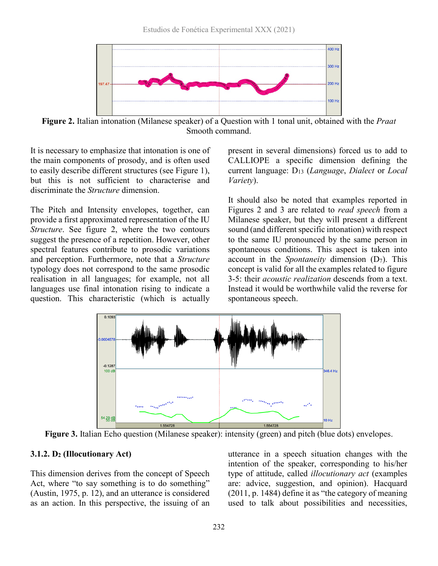

**Figure 2.** Italian intonation (Milanese speaker) of a Question with 1 tonal unit, obtained with the *Praat* Smooth command.

It is necessary to emphasize that intonation is one of the main components of prosody, and is often used to easily describe different structures (see Figure 1), but this is not sufficient to characterise and discriminate the *Structure* dimension.

The Pitch and Intensity envelopes, together, can provide a first approximated representation of the IU *Structure*. See figure 2, where the two contours suggest the presence of a repetition. However, other spectral features contribute to prosodic variations and perception. Furthermore, note that a *Structure* typology does not correspond to the same prosodic realisation in all languages; for example, not all languages use final intonation rising to indicate a question. This characteristic (which is actually

present in several dimensions) forced us to add to CALLIOPE a specific dimension defining the current language: D13 (*Language*, *Dialect* or *Local Variety*).

It should also be noted that examples reported in Figures 2 and 3 are related to *read speech* from a Milanese speaker, but they will present a different sound (and different specific intonation) with respect to the same IU pronounced by the same person in spontaneous conditions. This aspect is taken into account in the *Spontaneity* dimension (D7). This concept is valid for all the examples related to figure 3-5: their *acoustic realization* descends from a text. Instead it would be worthwhile valid the reverse for spontaneous speech.



**Figure 3.** Italian Echo question (Milanese speaker): intensity (green) and pitch (blue dots) envelopes.

#### **3.1.2. D2 (Illocutionary Act)**

This dimension derives from the concept of Speech Act, where "to say something is to do something" (Austin, 1975, p. 12), and an utterance is considered as an action. In this perspective, the issuing of an

utterance in a speech situation changes with the intention of the speaker, corresponding to his/her type of attitude, called *illocutionary act* (examples are: advice, suggestion, and opinion). Hacquard (2011, p. 1484) define it as "the category of meaning used to talk about possibilities and necessities,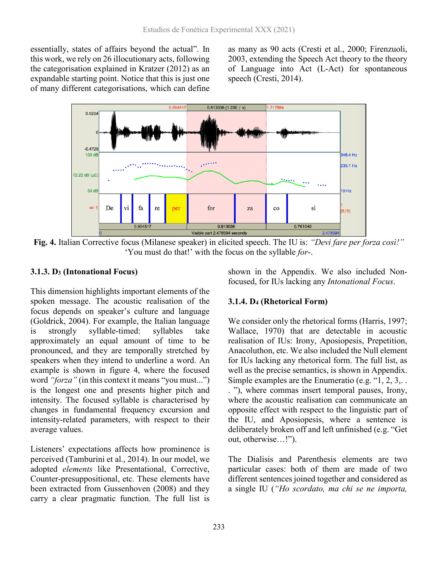essentially, states of affairs beyond the actual". In this work, we rely on 26 illocutionary acts, following the categorisation explained in Kratzer (2012) as an expandable starting point. Notice that this is just one of many different categorisations, which can define

as many as 90 acts (Cresti et al., 2000; Firenzuoli, 2003, extending the Speech Act theory to the theory of Language into Act (L-Act) for spontaneous speech (Cresti, 2014).



**Fig. 4.** Italian Corrective focus (Milanese speaker) in elicited speech. The IU is: *"Devi fare per forza così!"* 'You must do that!' with the focus on the syllable *for*-.

#### **3.1.3. D3 (Intonational Focus)**

This dimension highlights important elements of the spoken message. The acoustic realisation of the focus depends on speaker's culture and language (Goldrick, 2004). For example, the Italian language is strongly syllable-timed: syllables take approximately an equal amount of time to be pronounced, and they are temporally stretched by speakers when they intend to underline a word. An example is shown in figure 4, where the focused word *"forza"* (in this context it means "you must...") is the longest one and presents higher pitch and intensity. The focused syllable is characterised by changes in fundamental frequency excursion and intensity-related parameters, with respect to their average values.

Listeners' expectations affects how prominence is perceived (Tamburini et al., 2014). In our model, we adopted *elements* like Presentational, Corrective, Counter-presuppositional, etc. These elements have been extracted from Gussenhoven (2008) and they carry a clear pragmatic function. The full list is

shown in the Appendix. We also included Nonfocused, for IUs lacking any *Intonational Focus*.

### **3.1.4. D4 (Rhetorical Form)**

We consider only the rhetorical forms (Harris, 1997; Wallace, 1970) that are detectable in acoustic realisation of IUs: Irony, Aposiopesis, Prepetition, Anacoluthon, etc. We also included the Null element for IUs lacking any rhetorical form. The full list, as well as the precise semantics, is shown in Appendix. Simple examples are the Enumeratio (e.g. "1, 2, 3,. . . "), where commas insert temporal pauses, Irony, where the acoustic realisation can communicate an opposite effect with respect to the linguistic part of the IU, and Aposiopesis, where a sentence is deliberately broken off and left unfinished (e.g. "Get out, otherwise…!").

The Dialisis and Parenthesis elements are two particular cases: both of them are made of two different sentences joined together and considered as a single IU (*"Ho scordato, ma chi se ne importa,*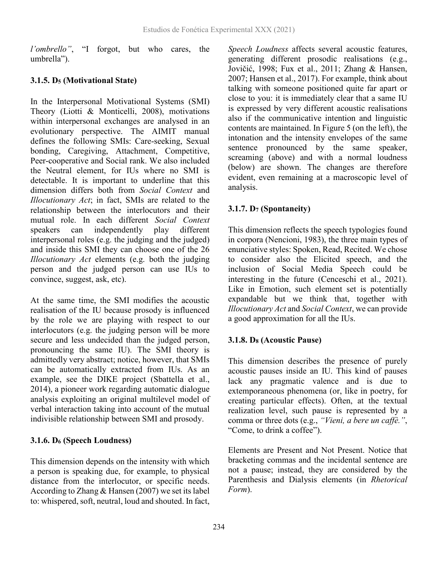*l'ombrello"*, "I forgot, but who cares, the umbrella").

# **3.1.5. D5 (Motivational State)**

In the Interpersonal Motivational Systems (SMI) Theory (Liotti & Monticelli, 2008), motivations within interpersonal exchanges are analysed in an evolutionary perspective. The AIMIT manual defines the following SMIs: Care-seeking, Sexual bonding, Caregiving, Attachment, Competitive, Peer-cooperative and Social rank. We also included the Neutral element, for IUs where no SMI is detectable. It is important to underline that this dimension differs both from *Social Context* and *Illocutionary Act*; in fact, SMIs are related to the relationship between the interlocutors and their mutual role. In each different *Social Context* speakers can independently play different interpersonal roles (e.g. the judging and the judged) and inside this SMI they can choose one of the 26 *Illocutionary Act* elements (e.g. both the judging person and the judged person can use IUs to convince, suggest, ask, etc).

At the same time, the SMI modifies the acoustic realisation of the IU because prosody is influenced by the role we are playing with respect to our interlocutors (e.g. the judging person will be more secure and less undecided than the judged person, pronouncing the same IU). The SMI theory is admittedly very abstract; notice, however, that SMIs can be automatically extracted from IUs. As an example, see the DIKE project (Sbattella et al., 2014), a pioneer work regarding automatic dialogue analysis exploiting an original multilevel model of verbal interaction taking into account of the mutual indivisible relationship between SMI and prosody.

# **3.1.6. D6 (Speech Loudness)**

This dimension depends on the intensity with which a person is speaking due, for example, to physical distance from the interlocutor, or specific needs. According to Zhang  $&$  Hansen (2007) we set its label to: whispered, soft, neutral, loud and shouted. In fact,

*Speech Loudness* affects several acoustic features, generating different prosodic realisations (e.g., Jovičić, 1998; Fux et al., 2011; Zhang & Hansen, 2007; Hansen et al., 2017). For example, think about talking with someone positioned quite far apart or close to you: it is immediately clear that a same IU is expressed by very different acoustic realisations also if the communicative intention and linguistic contents are maintained. In Figure 5 (on the left), the intonation and the intensity envelopes of the same sentence pronounced by the same speaker, screaming (above) and with a normal loudness (below) are shown. The changes are therefore evident, even remaining at a macroscopic level of analysis.

# **3.1.7. D7 (Spontaneity)**

This dimension reflects the speech typologies found in corpora (Nencioni, 1983), the three main types of enunciative styles: Spoken, Read, Recited. We chose to consider also the Elicited speech, and the inclusion of Social Media Speech could be interesting in the future (Cenceschi et al., 2021). Like in Emotion, such element set is potentially expandable but we think that, together with *Illocutionary Act* and *Social Context*, we can provide a good approximation for all the IUs.

# **3.1.8. D8 (Acoustic Pause)**

This dimension describes the presence of purely acoustic pauses inside an IU. This kind of pauses lack any pragmatic valence and is due to extemporaneous phenomena (or, like in poetry, for creating particular effects). Often, at the textual realization level, such pause is represented by a comma or three dots (e.g., *"Vieni, a bere un caffè."*, "Come, to drink a coffee").

Elements are Present and Not Present. Notice that bracketing commas and the incidental sentence are not a pause; instead, they are considered by the Parenthesis and Dialysis elements (in *Rhetorical Form*).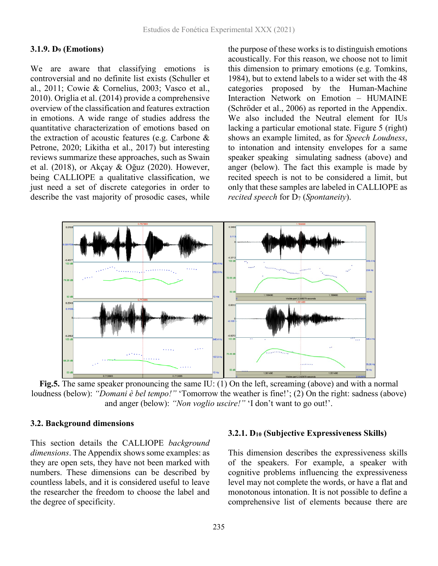#### **3.1.9. D9 (Emotions)**

We are aware that classifying emotions is controversial and no definite list exists (Schuller et al., 2011; Cowie & Cornelius, 2003; Vasco et al., 2010). Origlia et al. (2014) provide a comprehensive overview of the classification and features extraction in emotions. A wide range of studies address the quantitative characterization of emotions based on the extraction of acoustic features (e.g. Carbone & Petrone, 2020; Likitha et al., 2017) but interesting reviews summarize these approaches, such as Swain et al. (2018), or Akçay & Oğuz (2020). However, being CALLIOPE a qualitative classification, we just need a set of discrete categories in order to describe the vast majority of prosodic cases, while

the purpose of these works is to distinguish emotions acoustically. For this reason, we choose not to limit this dimension to primary emotions (e.g. Tomkins, 1984), but to extend labels to a wider set with the 48 categories proposed by the Human-Machine Interaction Network on Emotion – HUMAINE (Schröder et al., 2006) as reported in the Appendix. We also included the Neutral element for IUs lacking a particular emotional state. Figure 5 (right) shows an example limited, as for *Speech Loudness*, to intonation and intensity envelopes for a same speaker speaking simulating sadness (above) and anger (below). The fact this example is made by recited speech is not to be considered a limit, but only that these samples are labeled in CALLIOPE as *recited speech* for D7 (*Spontaneity*).



**Fig.5.** The same speaker pronouncing the same IU: (1) On the left, screaming (above) and with a normal loudness (below): *"Domani è bel tempo!"* 'Tomorrow the weather is fine!'; (2) On the right: sadness (above) and anger (below): "*Non voglio uscire!*" 'I don't want to go out!'.

#### **3.2. Background dimensions**

This section details the CALLIOPE *background dimensions*. The Appendix shows some examples: as they are open sets, they have not been marked with numbers. These dimensions can be described by countless labels, and it is considered useful to leave the researcher the freedom to choose the label and the degree of specificity.

#### **3.2.1. D10 (Subjective Expressiveness Skills)**

This dimension describes the expressiveness skills of the speakers. For example, a speaker with cognitive problems influencing the expressiveness level may not complete the words, or have a flat and monotonous intonation. It is not possible to define a comprehensive list of elements because there are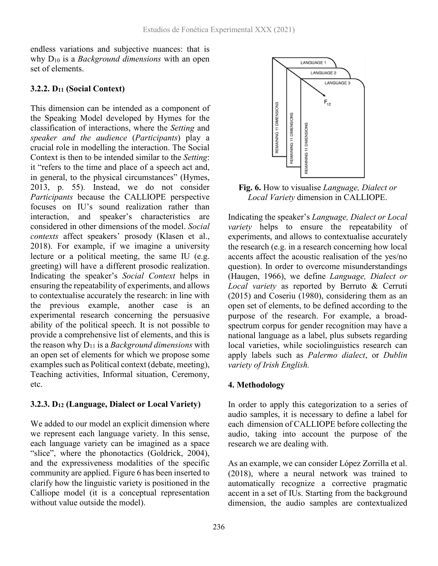endless variations and subjective nuances: that is why D10 is a *Background dimensions* with an open set of elements.

#### **3.2.2. D11 (Social Context)**

This dimension can be intended as a component of the Speaking Model developed by Hymes for the classification of interactions, where the *Setting* and *speaker and the audience* (*Participants*) play a crucial role in modelling the interaction. The Social Context is then to be intended similar to the *Setting*: it "refers to the time and place of a speech act and, in general, to the physical circumstances" (Hymes, 2013, p. 55). Instead, we do not consider *Participants* because the CALLIOPE perspective focuses on IU's sound realization rather than interaction, and speaker's characteristics are considered in other dimensions of the model. *Social contexts* affect speakers' prosody (Klasen et al., 2018). For example, if we imagine a university lecture or a political meeting, the same IU (e.g. greeting) will have a different prosodic realization. Indicating the speaker's *Social Context* helps in ensuring the repeatability of experiments, and allows to contextualise accurately the research: in line with the previous example, another case is an experimental research concerning the persuasive ability of the political speech. It is not possible to provide a comprehensive list of elements, and this is the reason why  $D_{11}$  is a *Background dimensions* with an open set of elements for which we propose some examples such as Political context (debate, meeting), Teaching activities, Informal situation, Ceremony, etc.

### **3.2.3. D12 (Language, Dialect or Local Variety)**

We added to our model an explicit dimension where we represent each language variety. In this sense, each language variety can be imagined as a space "slice", where the phonotactics (Goldrick, 2004), and the expressiveness modalities of the specific community are applied. Figure 6 has been inserted to clarify how the linguistic variety is positioned in the Calliope model (it is a conceptual representation without value outside the model).



**Fig. 6.** How to visualise *Language, Dialect or Local Variety* dimension in CALLIOPE.

Indicating the speaker's *Language, Dialect or Local variety* helps to ensure the repeatability of experiments, and allows to contextualise accurately the research (e.g. in a research concerning how local accents affect the acoustic realisation of the yes/no question). In order to overcome misunderstandings (Haugen, 1966), we define *Language, Dialect or Local variety* as reported by Berruto & Cerruti (2015) and Coseriu (1980), considering them as an open set of elements, to be defined according to the purpose of the research. For example, a broadspectrum corpus for gender recognition may have a national language as a label, plus subsets regarding local varieties, while sociolinguistics research can apply labels such as *Palermo dialect*, or *Dublin variety of Irish English.*

# **4. Methodology**

In order to apply this categorization to a series of audio samples, it is necessary to define a label for each dimension of CALLIOPE before collecting the audio, taking into account the purpose of the research we are dealing with.

As an example, we can consider López Zorrilla et al. (2018), where a neural network was trained to automatically recognize a corrective pragmatic accent in a set of IUs. Starting from the background dimension, the audio samples are contextualized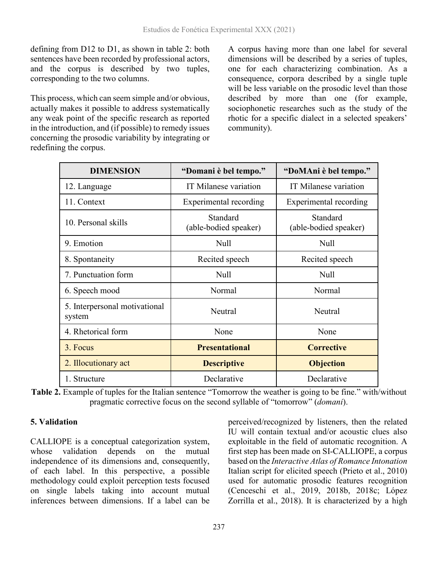defining from D12 to D1, as shown in table 2: both sentences have been recorded by professional actors, and the corpus is described by two tuples, corresponding to the two columns.

This process, which can seem simple and/or obvious, actually makes it possible to address systematically any weak point of the specific research as reported in the introduction, and (if possible) to remedy issues concerning the prosodic variability by integrating or redefining the corpus.

A corpus having more than one label for several dimensions will be described by a series of tuples, one for each characterizing combination. As a consequence, corpora described by a single tuple will be less variable on the prosodic level than those described by more than one (for example, sociophonetic researches such as the study of the rhotic for a specific dialect in a selected speakers' community).

| <b>DIMENSION</b>                        | "Domani è bel tempo."             | "DoMAni è bel tempo."             |
|-----------------------------------------|-----------------------------------|-----------------------------------|
| 12. Language                            | IT Milanese variation             | IT Milanese variation             |
| 11. Context                             | Experimental recording            | Experimental recording            |
| 10. Personal skills                     | Standard<br>(able-bodied speaker) | Standard<br>(able-bodied speaker) |
| 9. Emotion                              | Null                              | Null                              |
| 8. Spontaneity                          | Recited speech                    | Recited speech                    |
| 7. Punctuation form                     | Null                              | Null                              |
| 6. Speech mood                          | Normal                            | Normal                            |
| 5. Interpersonal motivational<br>system | Neutral                           | Neutral                           |
| 4. Rhetorical form                      | None                              | None                              |
| 3. Focus                                | <b>Presentational</b>             | <b>Corrective</b>                 |
| 2. Illocutionary act                    | <b>Descriptive</b>                | <b>Objection</b>                  |
| 1. Structure                            | Declarative                       | Declarative                       |

**Table 2.** Example of tuples for the Italian sentence "Tomorrow the weather is going to be fine." with/without pragmatic corrective focus on the second syllable of "tomorrow" (*domani*).

### **5. Validation**

CALLIOPE is a conceptual categorization system, whose validation depends on the mutual independence of its dimensions and, consequently, of each label. In this perspective, a possible methodology could exploit perception tests focused on single labels taking into account mutual inferences between dimensions. If a label can be

perceived/recognized by listeners, then the related IU will contain textual and/or acoustic clues also exploitable in the field of automatic recognition. A first step has been made on SI-CALLIOPE, a corpus based on the *Interactive Atlas of Romance Intonation* Italian script for elicited speech (Prieto et al., 2010) used for automatic prosodic features recognition (Cenceschi et al., 2019, 2018b, 2018c; López Zorrilla et al., 2018). It is characterized by a high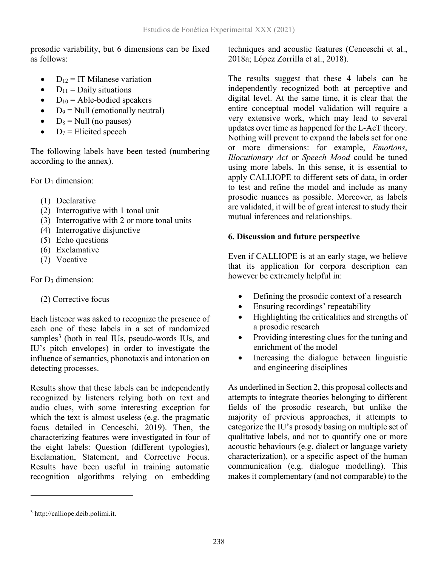prosodic variability, but 6 dimensions can be fixed as follows:

- $D_{12} = IT$  Milanese variation
- $D_{11} =$  Daily situations
- $D_{10}$  = Able-bodied speakers
- $D_9 = Null (emotionally neutral)$
- $D_8 =$  Null (no pauses)
- $D_7$  = Elicited speech

The following labels have been tested (numbering according to the annex).

For  $D_1$  dimension:

- (1) Declarative
- (2) Interrogative with 1 tonal unit
- (3) Interrogative with 2 or more tonal units
- (4) Interrogative disjunctive
- (5) Echo questions
- (6) Exclamative
- (7) Vocative

# For D<sub>3</sub> dimension:

# (2) Corrective focus

Each listener was asked to recognize the presence of each one of these labels in a set of randomized samples<sup>[3](#page-11-0)</sup> (both in real IUs, pseudo-words IUs, and IU's pitch envelopes) in order to investigate the influence of semantics, phonotaxis and intonation on detecting processes.

Results show that these labels can be independently recognized by listeners relying both on text and audio clues, with some interesting exception for which the text is almost useless (e.g. the pragmatic focus detailed in Cenceschi, 2019). Then, the characterizing features were investigated in four of the eight labels: Question (different typologies), Exclamation, Statement, and Corrective Focus. Results have been useful in training automatic recognition algorithms relying on embedding

techniques and acoustic features (Cenceschi et al., 2018a; López Zorrilla et al., 2018).

The results suggest that these 4 labels can be independently recognized both at perceptive and digital level. At the same time, it is clear that the entire conceptual model validation will require a very extensive work, which may lead to several updates over time as happened for the L-AcT theory. Nothing will prevent to expand the labels set for one or more dimensions: for example, *Emotions*, *Illocutionary Act* or *Speech Mood* could be tuned using more labels. In this sense, it is essential to apply CALLIOPE to different sets of data, in order to test and refine the model and include as many prosodic nuances as possible. Moreover, as labels are validated, it will be of great interest to study their mutual inferences and relationships.

# **6. Discussion and future perspective**

Even if CALLIOPE is at an early stage, we believe that its application for corpora description can however be extremely helpful in:

- Defining the prosodic context of a research
- Ensuring recordings' repeatability
- Highlighting the criticalities and strengths of a prosodic research
- Providing interesting clues for the tuning and enrichment of the model
- Increasing the dialogue between linguistic and engineering disciplines

As underlined in Section 2, this proposal collects and attempts to integrate theories belonging to different fields of the prosodic research, but unlike the majority of previous approaches, it attempts to categorize the IU's prosody basing on multiple set of qualitative labels, and not to quantify one or more acoustic behaviours (e.g. dialect or language variety characterization), or a specific aspect of the human communication (e.g. dialogue modelling). This makes it complementary (and not comparable) to the

 $\overline{a}$ 

<span id="page-11-0"></span><sup>3</sup> http://calliope.deib.polimi.it.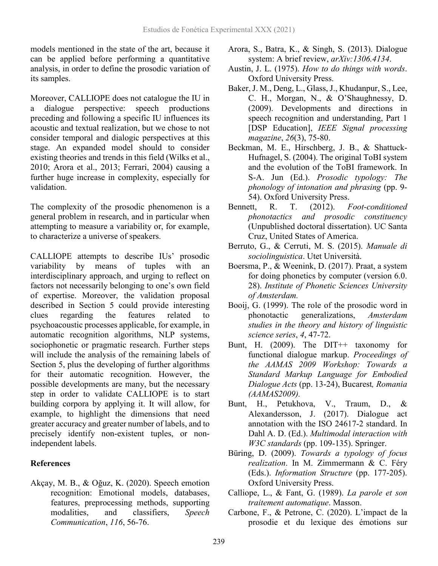models mentioned in the state of the art, because it can be applied before performing a quantitative analysis, in order to define the prosodic variation of its samples.

Moreover, CALLIOPE does not catalogue the IU in a dialogue perspective: speech productions preceding and following a specific IU influences its acoustic and textual realization, but we chose to not consider temporal and dialogic perspectives at this stage. An expanded model should to consider existing theories and trends in this field (Wilks et al., 2010; Arora et al., 2013; Ferrari, 2004) causing a further huge increase in complexity, especially for validation.

The complexity of the prosodic phenomenon is a general problem in research, and in particular when attempting to measure a variability or, for example, to characterize a universe of speakers.

CALLIOPE attempts to describe IUs' prosodic variability by means of tuples with an interdisciplinary approach, and urging to reflect on factors not necessarily belonging to one's own field of expertise. Moreover, the validation proposal described in Section 5 could provide interesting clues regarding the features related to psychoacoustic processes applicable, for example, in automatic recognition algorithms, NLP systems, sociophonetic or pragmatic research. Further steps will include the analysis of the remaining labels of Section 5, plus the developing of further algorithms for their automatic recognition. However, the possible developments are many, but the necessary step in order to validate CALLIOPE is to start building corpora by applying it. It will allow, for example, to highlight the dimensions that need greater accuracy and greater number of labels, and to precisely identify non-existent tuples, or nonindependent labels.

### **References**

Akçay, M. B., & Oğuz, K. (2020). Speech emotion recognition: Emotional models, databases, features, preprocessing methods, supporting modalities, and classifiers, *Speech Communication*, *116*, 56-76.

- Arora, S., Batra, K., & Singh, S. (2013). Dialogue system: A brief review, *arXiv:1306.4134*.
- Austin, J. L. (1975). *How to do things with words*. Oxford University Press.
- Baker, J. M., Deng, L., Glass, J., Khudanpur, S., Lee, C. H., Morgan, N., & O'Shaughnessy, D. (2009). Developments and directions in speech recognition and understanding, Part 1 [DSP Education], *IEEE Signal processing magazine*, *26*(3), 75-80.
- Beckman, M. E., Hirschberg, J. B., & Shattuck-Hufnagel, S. (2004). The original ToBI system and the evolution of the ToBI framework. In S-A. Jun (Ed.). *Prosodic typology: The phonology of intonation and phrasing* (pp. 9- 54). Oxford University Press.
- Bennett, R. T. (2012). *Foot-conditioned phonotactics and prosodic constituency* (Unpublished doctoral dissertation). UC Santa Cruz, United States of America.
- Berruto, G., & Cerruti, M. S. (2015). *Manuale di sociolinguistica*. Utet Università.
- Boersma, P., & Weenink, D. (2017). Praat, a system for doing phonetics by computer (version 6.0. 28). *Institute of Phonetic Sciences University of Amsterdam.*
- Booij, G. (1999). The role of the prosodic word in phonotactic generalizations, *Amsterdam studies in the theory and history of linguistic science series*, *4*, 47-72.
- Bunt, H. (2009). The DIT++ taxonomy for functional dialogue markup. *Proceedings of the AAMAS 2009 Workshop: Towards a Standard Markup Language for Embodied Dialogue Acts* (pp. 13-24), Bucarest*, Romania (AAMAS2009).*
- Bunt, H., Petukhova, V., Traum, D., & Alexandersson, J. (2017). Dialogue act annotation with the ISO 24617-2 standard. In Dahl A. D. (Ed.). *Multimodal interaction with W3C standards* (pp. 109-135). Springer.
- Büring, D. (2009). *Towards a typology of focus realization*. In M. Zimmermann & C. Féry (Eds.). *Information Structure* (pp. 177-205). Oxford University Press.
- Calliope, L., & Fant, G. (1989). *La parole et son traitement automatique*. Masson.
- Carbone, F., & Petrone, C. (2020). L'impact de la prosodie et du lexique des émotions sur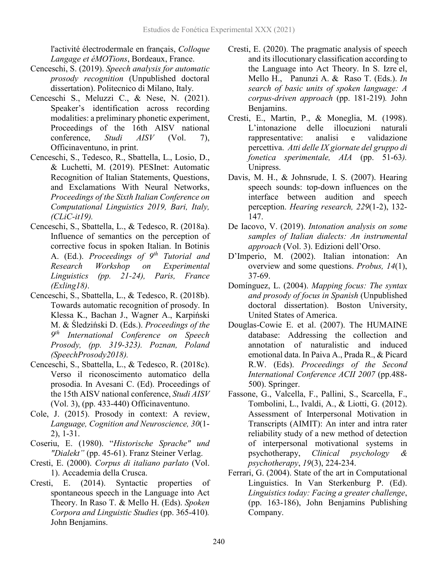l'activité électrodermale en français, *Colloque Langage et éMOTions*, Bordeaux, France.

- Cenceschi, S. (2019). *Speech analysis for automatic prosody recognition* (Unpublished doctoral dissertation). Politecnico di Milano, Italy.
- Cenceschi S., Meluzzi C., & Nese, N. (2021). Speaker's identification across recording modalities: a preliminary phonetic experiment, Proceedings of the 16th AISV national conference, *Studi AISV* (Vol. 7), Officinaventuno, in print.
- Cenceschi, S., Tedesco, R., Sbattella, L., Losio, D., & Luchetti, M. (2019). PESInet: Automatic Recognition of Italian Statements, Questions, and Exclamations With Neural Networks, *Proceedings of the Sixth Italian Conference on Computational Linguistics 2019, Bari, Italy, (CLiC-it19).*
- Cenceschi, S., Sbattella, L., & Tedesco, R. (2018a). Influence of semantics on the perception of corrective focus in spoken Italian. In Botinis A. (Ed.). *Proceedings of 9th Tutorial and Research Workshop on Experimental Linguistics (pp. 21-24), Paris, France (Exling18)*.
- Cenceschi, S., Sbattella, L., & Tedesco, R. (2018b). Towards automatic recognition of prosody. In Klessa K., Bachan J., Wagner A., Karpiński M. & Śledziński D. (Eds.). *Proceedings of the 9th International Conference on Speech Prosody, (pp. 319-323). Poznan, Poland (SpeechProsody2018).*
- Cenceschi, S., Sbattella, L., & Tedesco, R. (2018c). Verso il riconoscimento automatico della prosodia. In Avesani C. (Ed). Proceedings of the 15th AISV national conference, *Studi AISV* (Vol. 3), (pp. 433-440) Officinaventuno.
- Cole, J. (2015). Prosody in context: A review, *Language, Cognition and Neuroscience, 30*(1- 2), 1-31.
- Coseriu, E. (1980). "*Historische Sprache" und "Dialekt"* (pp. 45-61). Franz Steiner Verlag.
- Cresti, E. (2000). *Corpus di italiano parlato* (Vol. 1). Accademia della Crusca.
- Cresti, E. (2014). Syntactic properties of spontaneous speech in the Language into Act Theory. In Raso T. & Mello H. (Eds). *Spoken Corpora and Linguistic Studies* (pp. 365-410)*.* John Benjamins.
- Cresti, E. (2020). The pragmatic analysis of speech and its illocutionary classification according to the Language into Act Theory. In S. Izre ́el, Mello H., Panunzi A. & Raso T. (Eds.). *In search of basic units of spoken language: A corpus-driven approach* (pp. 181-219)*.* John Benjamins.
- Cresti, E., Martin, P., & Moneglia, M. (1998). L'intonazione delle illocuzioni naturali rappresentative: analisi e validazione percettiva. *Atti delle IX giornate del gruppo di fonetica sperimentale, AIA* (pp. 51-63*).* Unipress.
- Davis, M. H., & Johnsrude, I. S. (2007). Hearing speech sounds: top-down influences on the interface between audition and speech perception. *Hearing research, 229*(1-2), 132- 147.
- De Iacovo, V. (2019). *Intonation analysis on some samples of Italian dialects: An instrumental approach* (Vol. 3). Edizioni dell'Orso.
- D'Imperio, M. (2002). Italian intonation: An overview and some questions. *Probus, 14*(1), 37-69.
- Domínguez, L. (2004). *Mapping focus: The syntax and prosody of focus in Spanish* (Unpublished doctoral dissertation). Boston University, United States of America.
- Douglas-Cowie E. et al. (2007). The HUMAINE database: Addressing the collection and annotation of naturalistic and induced emotional data. In Paiva A., Prada R., & Picard R.W. (Eds). *Proceedings of the Second International Conference ACII 2007* (pp.488- 500). Springer.
- Fassone, G., Valcella, F., Pallini, S., Scarcella, F., Tombolini, L., Ivaldi, A., & Liotti, G. (2012). Assessment of Interpersonal Motivation in Transcripts (AIMIT): An inter and intra rater reliability study of a new method of detection of interpersonal motivational systems in psychotherapy, *Clinical psychology & psychotherapy*, *19*(3), 224-234.
- Ferrari, G. (2004). State of the art in Computational Linguistics. In Van Sterkenburg P. (Ed). *Linguistics today: Facing a greater challenge*, (pp. 163-186), John Benjamins Publishing Company.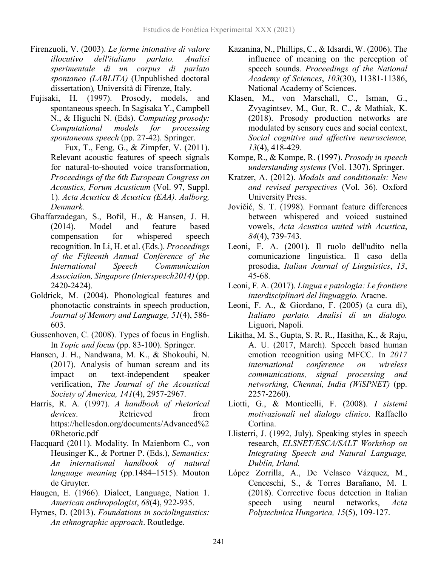- Firenzuoli, V. (2003). *Le forme intonative di valore illocutivo dell'italiano parlato. Analisi sperimentale di un corpus di parlato spontaneo (LABLITA)* (Unpublished doctoral dissertation)*,* Università di Firenze, Italy.
- Fujisaki, H. (1997). Prosody, models, and spontaneous speech. In Sagisaka Y., Campbell N., & Higuchi N. (Eds). *Computing prosody: Computational models for processing spontaneous speech* (pp. 27-42). Springer.

 Fux, T., Feng, G., & Zimpfer, V. (2011). Relevant acoustic features of speech signals for natural-to-shouted voice transformation, *Proceedings of the 6th European Congress on Acoustics, Forum Acusticum* (Vol. 97, Suppl. 1). *Acta Acustica & Acustica (EAA). Aalborg, Denmark.*

- Ghaffarzadegan, S., Bořil, H., & Hansen, J. H. (2014). Model and feature based compensation for whispered speech recognition. In Li, H. et al. (Eds.). *Proceedings of the Fifteenth Annual Conference of the International Speech Communication Association, Singapore (Interspeech2014)* (pp. 2420-2424).
- Goldrick, M. (2004). Phonological features and phonotactic constraints in speech production, *Journal of Memory and Language, 51*(4), 586- 603.
- Gussenhoven, C. (2008). Types of focus in English. In *Topic and focus* (pp. 83-100). Springer.
- Hansen, J. H., Nandwana, M. K., & Shokouhi, N. (2017). Analysis of human scream and its impact on text-independent speaker verification, *The Journal of the Acoustical Society of America, 141*(4), 2957-2967.
- Harris, R. A. (1997). *A handbook of rhetorical devices*. Retrieved from https://hellesdon.org/documents/Advanced%2 0Rhetoric.pdf
- Hacquard (2011). Modality. In Maienborn C., von Heusinger K., & Portner P. (Eds.), *Semantics: An international handbook of natural language meaning* (pp.1484–1515). Mouton de Gruyter.
- Haugen, E. (1966). Dialect, Language, Nation 1. *American anthropologist*, *68*(4), 922-935.
- Hymes, D. (2013). *Foundations in sociolinguistics: An ethnographic approach*. Routledge.
- Kazanina, N., Phillips, C., & Idsardi, W. (2006). The influence of meaning on the perception of speech sounds. *Proceedings of the National Academy of Sciences*, *103*(30), 11381-11386, National Academy of Sciences.
- Klasen, M., von Marschall, C., Isman, G., Zvyagintsev, M., Gur, R. C., & Mathiak, K. (2018). Prosody production networks are modulated by sensory cues and social context, *Social cognitive and affective neuroscience, 13*(4), 418-429.
- Kompe, R., & Kompe, R. (1997). *Prosody in speech understanding systems* (Vol. 1307). Springer.
- Kratzer, A. (2012). *Modals and conditionals: New and revised perspectives* (Vol. 36). Oxford University Press.
- Jovičić, S. T. (1998). Formant feature differences between whispered and voiced sustained vowels, *Acta Acustica united with Acustica*, *84*(4), 739-743.
- Leoni, F. A. (2001). Il ruolo dell'udito nella comunicazione linguistica. Il caso della prosodia, *Italian Journal of Linguistics*, *13*, 45-68.
- Leoni, F. A. (2017). *Lingua e patologia: Le frontiere interdisciplinari del linguaggio.* Aracne.
- Leoni, F. A., & Giordano, F. (2005) (a cura di), *Italiano parlato. Analisi di un dialogo.* Liguori, Napoli.
- Likitha, M. S., Gupta, S. R. R., Hasitha, K., & Raju, A. U. (2017, March). Speech based human emotion recognition using MFCC. In *2017 international conference on wireless communications, signal processing and networking, Chennai, India (WiSPNET)* (pp. 2257-2260).
- Liotti, G., & Monticelli, F. (2008). *I sistemi motivazionali nel dialogo clinico*. Raffaello Cortina.
- Llisterri, J. (1992, July). Speaking styles in speech research, *ELSNET/ESCA/SALT Workshop on Integrating Speech and Natural Language, Dublin, Irland.*
- López Zorrilla, A., De Velasco Vázquez, M., Cenceschi, S., & Torres Barañano, M. I. (2018). Corrective focus detection in Italian speech using neural networks, *Acta Polytechnica Hungarica, 15*(5), 109-127.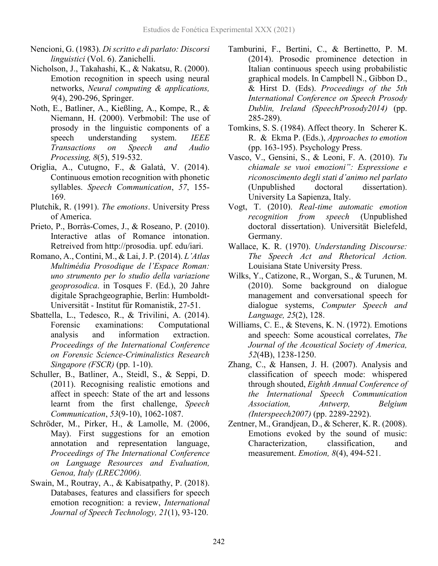- Nencioni, G. (1983). *Di scritto e di parlato: Discorsi linguistici* (Vol. 6). Zanichelli.
- Nicholson, J., Takahashi, K., & Nakatsu, R. (2000). Emotion recognition in speech using neural networks, *Neural computing & applications, 9*(4), 290-296, Springer.
- Noth, E., Batliner, A., Kießling, A., Kompe, R., & Niemann, H. (2000). Verbmobil: The use of prosody in the linguistic components of a speech understanding system. *IEEE Transactions on Speech and Audio Processing, 8*(5), 519-532.
- Origlia, A., Cutugno, F., & Galatà, V. (2014). Continuous emotion recognition with phonetic syllables. *Speech Communication*, *57*, 155- 169.
- Plutchik, R. (1991). *The emotions*. University Press of America.
- Prieto, P., Borràs-Comes, J., & Roseano, P. (2010). Interactive atlas of Romance intonation. Retreived from http://prosodia. upf. edu/iari.
- Romano, A., Contini, M., & Lai,J. P. (2014). *L'Atlas Multimédia Prosodique de l'Espace Roman: uno strumento per lo studio della variazione geoprosodica*. in Tosques F. (Ed.), 20 Jahre digitale Sprachgeographie, Berlin: Humboldt-Universität - Institut für Romanistik, 27-51.
- Sbattella, L., Tedesco, R., & Trivilini, A. (2014). Forensic examinations: Computational analysis and information extraction. *Proceedings of the International Conference on Forensic Science-Criminalistics Research Singapore (FSCR)* (pp. 1-10).
- Schuller, B., Batliner, A., Steidl, S., & Seppi, D. (2011). Recognising realistic emotions and affect in speech: State of the art and lessons learnt from the first challenge, *Speech Communication*, *53*(9-10), 1062-1087.
- Schröder, M., Pirker, H., & Lamolle, M. (2006, May). First suggestions for an emotion annotation and representation language, *Proceedings of The International Conference on Language Resources and Evaluation, Genoa, Italy (LREC2006).*
- Swain, M., Routray, A., & Kabisatpathy, P. (2018). Databases, features and classifiers for speech emotion recognition: a review, *International Journal of Speech Technology, 21*(1), 93-120.
- Tamburini, F., Bertini, C., & Bertinetto, P. M. (2014). Prosodic prominence detection in Italian continuous speech using probabilistic graphical models. In Campbell N., Gibbon D., & Hirst D. (Eds). *Proceedings of the 5th International Conference on Speech Prosody Dublin, Ireland (SpeechProsody2014)* (pp. 285-289).
- Tomkins, S. S. (1984). Affect theory. In Scherer K. R. & Ekma P. (Eds.), *Approaches to emotion* (pp. 163-195). Psychology Press.
- Vasco, V., Gensini, S., & Leoni, F. A. (2010). *Tu chiamale se vuoi emozioni": Espressione e riconoscimento degli stati d'animo nel parlato* (Unpublished doctoral dissertation). University La Sapienza, Italy.
- Vogt, T. (2010). *Real-time automatic emotion recognition from speech* (Unpublished doctoral dissertation). Universität Bielefeld, Germany.
- Wallace, K. R. (1970). *Understanding Discourse: The Speech Act and Rhetorical Action.* Louisiana State University Press.
- Wilks, Y., Catizone, R., Worgan, S., & Turunen, M. (2010). Some background on dialogue management and conversational speech for dialogue systems, *Computer Speech and Language, 25*(2), 128.
- Williams, C. E., & Stevens, K. N. (1972). Emotions and speech: Some acoustical correlates, *The Journal of the Acoustical Society of America, 52*(4B), 1238-1250.
- Zhang, C., & Hansen, J. H. (2007). Analysis and classification of speech mode: whispered through shouted, *Eighth Annual Conference of the International Speech Communication Association, Antwerp, Belgium (Interspeech2007)* (pp. 2289-2292).
- Zentner, M., Grandjean, D., & Scherer, K. R. (2008). Emotions evoked by the sound of music: Characterization, classification, and measurement. *Emotion, 8*(4), 494-521.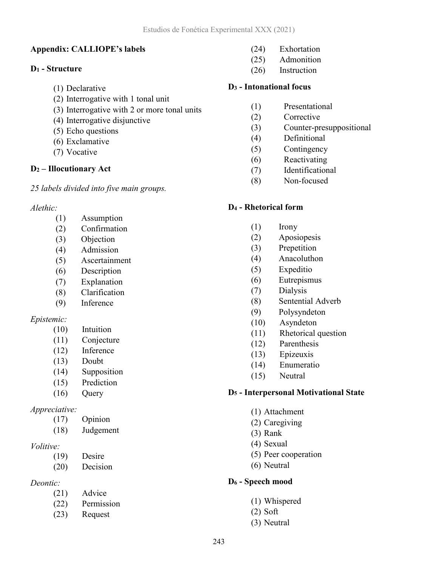#### **Appendix: CALLIOPE's labels**

#### **D1 - Structure**

- (1) Declarative
- (2) Interrogative with 1 tonal unit
- (3) Interrogative with 2 or more tonal units
- (4) Interrogative disjunctive
- (5) Echo questions
- (6) Exclamative
- (7) Vocative

#### **D2 – Illocutionary Act**

*25 labels divided into five main groups.*

#### *Alethic:*

- (1) Assumption
- (2) Confirmation
- (3) Objection
- (4) Admission
- (5) Ascertainment
- (6) Description
- (7) Explanation
- (8) Clarification
- (9) Inference

#### *Epistemic:*

- (10) Intuition
- (11) Conjecture
- (12) Inference
- (13) Doubt
- (14) Supposition
- (15) Prediction
- (16) Query

#### *Appreciative:*

- (17) Opinion
- (18) Judgement

#### *Volitive:*

- (19) Desire
- (20) Decision

### *Deontic:*

- (21) Advice
- (22) Permission
- (23) Request
- (24) Exhortation
- (25) Admonition
- (26) Instruction

#### **D3 - Intonational focus**

- (1) Presentational
- (2) Corrective
- (3) Counter-presuppositional
- (4) Definitional
- (5) Contingency
- (6) Reactivating
- (7) Identificational
- (8) Non-focused

#### **D4 - Rhetorical form**

- (1) Irony
- (2) Aposiopesis
- (3) Prepetition
- (4) Anacoluthon
- (5) Expeditio
- (6) Eutrepismus
- (7) Dialysis
- (8) Sentential Adverb
- (9) Polysyndeton
- (10) Asyndeton
- (11) Rhetorical question
- (12) Parenthesis
- (13) Epizeuxis
- (14) Enumeratio
- (15) Neutral

#### **D5 - Interpersonal Motivational State**

- (1) Attachment
- (2) Caregiving
- (3) Rank
- (4) Sexual
- (5) Peer cooperation
- (6) Neutral

#### **D6 - Speech mood**

- (1) Whispered
- (2) Soft
- (3) Neutral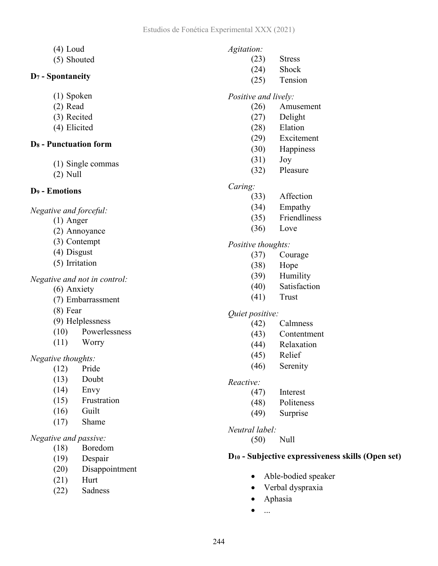- (4) Loud
- (5) Shouted

### **D7 - Spontaneity**

- (1) Spoken
- (2) Read
- (3) Recited
- (4) Elicited

#### **D8 - Punctuation form**

- (1) Single commas
- (2) Null

# **D9 - Emotions**

*Negative and forceful:*

- (1) Anger
- (2) Annoyance
- (3) Contempt
- (4) Disgust
- (5) Irritation

### *Negative and not in control:*

- (6) Anxiety
- (7) Embarrassment
- (8) Fear
- (9) Helplessness
- (10) Powerlessness
- (11) Worry

### *Negative thoughts:*

- (12) Pride
- (13) Doubt
- (14) Envy
- (15) Frustration
- (16) Guilt
- (17) Shame

### *Negative and passive:*

- (18) Boredom
- (19) Despair
- (20) Disappointment
- (21) Hurt
- (22) Sadness

# *Agitation:*

- (23) Stress
- (24) Shock
- (25) Tension

# *Positive and lively:*

- (26) Amusement
- (27) Delight
- (28) Elation
- (29) Excitement
- (30) Happiness
- (31) Joy
- (32) Pleasure

# *Caring:*

- (33) Affection
- (34) Empathy
- (35) Friendliness
- (36) Love

# *Positive thoughts:*

- (37) Courage
- (38) Hope
- (39) Humility
- (40) Satisfaction
- (41) Trust

### *Quiet positive:*

- (42) Calmness
- (43) Contentment
- (44) Relaxation
- (45) Relief
- (46) Serenity

### *Reactive:*

- (47) Interest
- (48) Politeness
- (49) Surprise

### *Neutral label:*

(50) Null

### **D10 - Subjective expressiveness skills (Open set)**

- Able-bodied speaker
- Verbal dyspraxia
- Aphasia
- $\bullet$  ...